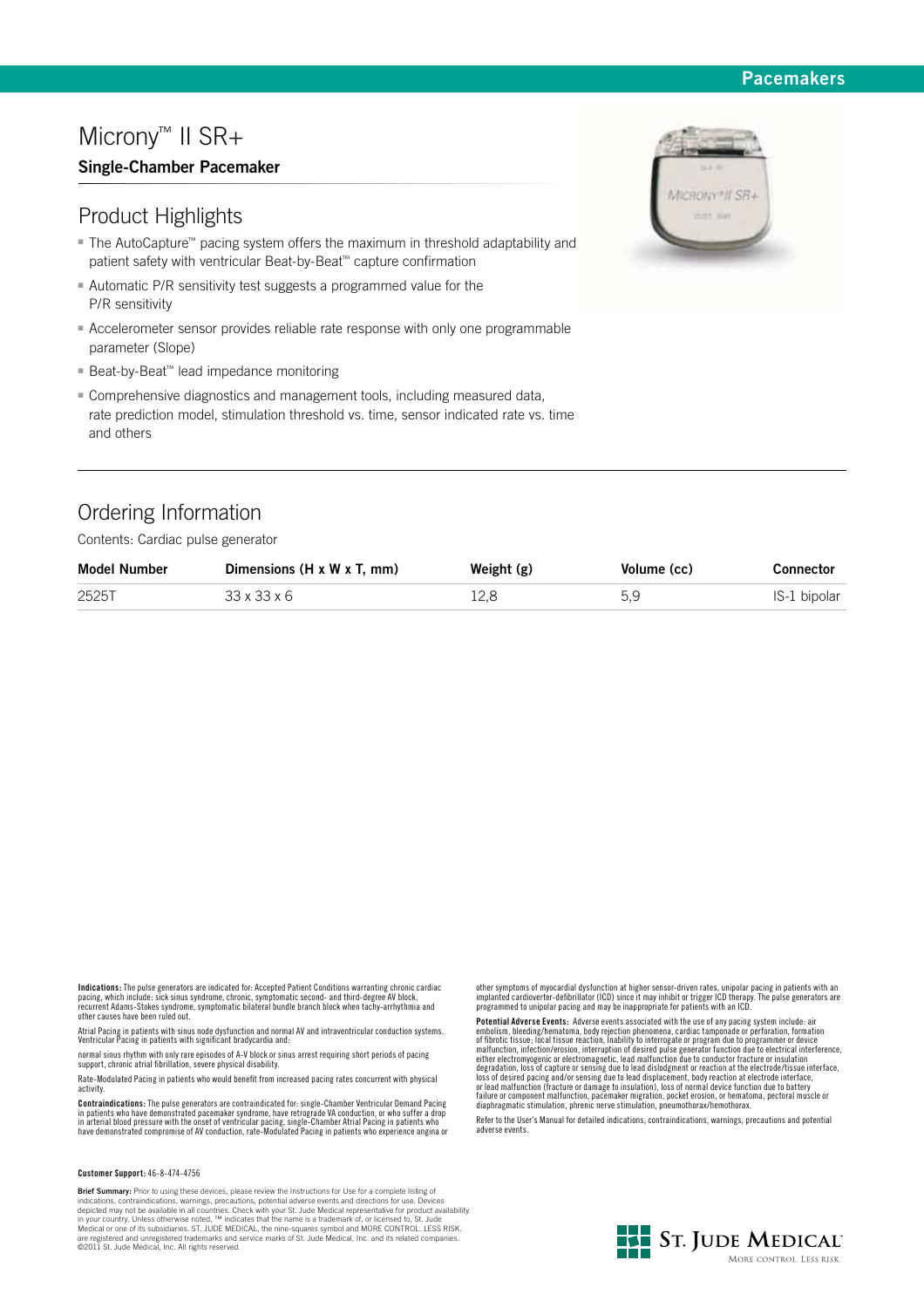### **Pacemakers**

# Microny™ II SR+

### **Single-Chamber Pacemaker**

## Product Highlights

- The AutoCapture™ pacing system offers the maximum in threshold adaptability and patient safety with ventricular Beat-by-Beat™ capture confirmation
- Automatic P/R sensitivity test suggests a programmed value for the P/R sensitivity
- Accelerometer sensor provides reliable rate response with only one programmable parameter (Slope)
- Beat-by-Beat<sup>™</sup> lead impedance monitoring
- Comprehensive diagnostics and management tools, including measured data, rate prediction model, stimulation threshold vs. time, sensor indicated rate vs. time and others

# Ordering Information

Contents: Cardiac pulse generator

| <b>Model Number</b> | Dimensions $(H \times W \times T, \text{ mm})$ | Weight (g) | Volume (cc) | Connector    |
|---------------------|------------------------------------------------|------------|-------------|--------------|
| 2525T               | 33 x 33 x 6                                    | 12.8       | 5.9         | IS-1 bipolar |

**Indications:** The pulse generators are indicated for: Accepted Patient Conditions warranting chronic cardiac<br>pacing, which include: sick sinus syndrome, chronic, symptomatic second- and third-degree AV block,<br>recurrent Ad

Atrial Pacing in patients with sinus node dysfunction and normal AV and intraventricular conduction systems.<br>Ventricular Pacing in patients with significant bradycardia and:

normal sinus rhythm with only rare episodes of A-V block or sinus arrest requiring short periods of pacing support, chronic atrial fibrillation, severe physical disability.

Rate-Modulated Pacing in patients who would benefit from increased pacing rates concurrent with physical activity.

**Contraindications:** The pulse generators are contraindicated for: single-Chamber Ventricular Demand Pacing<br>in patients who have demonstrated pacemaker syndrome, have retrograde VA conduction, or who suffer a drop<br>in arter

**Customer Support:** 46-8-474-4756

**Brief Summary:** Prior to using these devices, please review the Instructions for Use for a complete listing of<br>indications, contraindcations, warnings, precautions, potential adverse events and directions for use. Devices

other symptoms of myocardial dysfunction at higher sensor-driven rates, unipolar pacing in patients with an<br>implanted cardioverter-defibrillator (ICD) since it may inhibit or trigger ICD therapy. The pulse generators are<br>p

**Potential Adverse Events:** Adverse events associated with the use of any paing system include: air<br>embolism, bleeding/hematoma, body rejection phenomena, cardiac tamponade or perforation, formation<br>of fibrotic tissue; loc

Refer to the User's Manual for detailed indications, contraindications, warnings, precautions and potential adverse events.